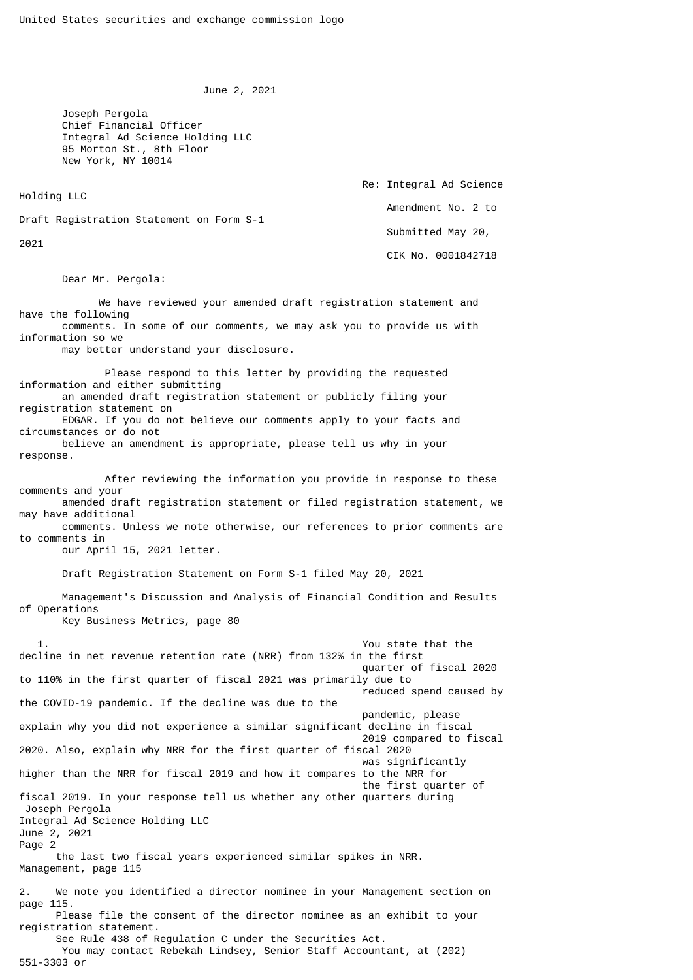June 2, 2021

 Joseph Pergola Chief Financial Officer Integral Ad Science Holding LLC 95 Morton St., 8th Floor New York, NY 10014

Holding LLC

 Re: Integral Ad Science Amendment No. 2 to Submitted May 20, CIK No. 0001842718

Draft Registration Statement on Form S-1

2021

Dear Mr. Pergola:

 We have reviewed your amended draft registration statement and have the following comments. In some of our comments, we may ask you to provide us with information so we

may better understand your disclosure.

 Please respond to this letter by providing the requested information and either submitting an amended draft registration statement or publicly filing your registration statement on EDGAR. If you do not believe our comments apply to your facts and

circumstances or do not believe an amendment is appropriate, please tell us why in your

response.

 After reviewing the information you provide in response to these comments and your amended draft registration statement or filed registration statement, we may have additional comments. Unless we note otherwise, our references to prior comments are

to comments in our April 15, 2021 letter.

Draft Registration Statement on Form S-1 filed May 20, 2021

 Management's Discussion and Analysis of Financial Condition and Results of Operations

Key Business Metrics, page 80

 1. You state that the decline in net revenue retention rate (NRR) from 132% in the first quarter of fiscal 2020 to 110% in the first quarter of fiscal 2021 was primarily due to reduced spend caused by the COVID-19 pandemic. If the decline was due to the pandemic, please explain why you did not experience a similar significant decline in fiscal 2019 compared to fiscal 2020. Also, explain why NRR for the first quarter of fiscal 2020 was significantly higher than the NRR for fiscal 2019 and how it compares to the NRR for the first quarter of fiscal 2019. In your response tell us whether any other quarters during Joseph Pergola Integral Ad Science Holding LLC June 2, 2021 Page 2 the last two fiscal years experienced similar spikes in NRR. Management, page 115 2. We note you identified a director nominee in your Management section on page 115. Please file the consent of the director nominee as an exhibit to your registration statement. See Rule 438 of Regulation C under the Securities Act. You may contact Rebekah Lindsey, Senior Staff Accountant, at (202) 551-3303 or